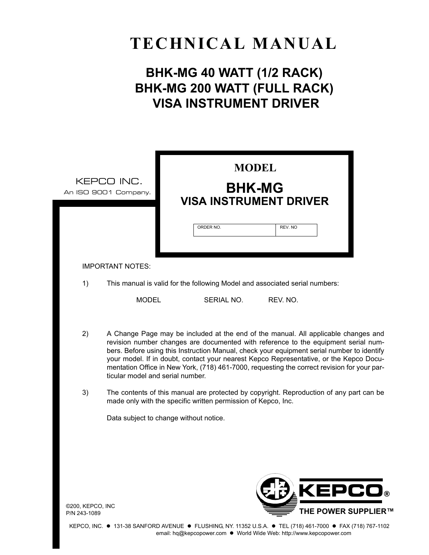# **TECHNICAL MANUAL**

# **BHK-MG 40 WATT (1/2 RACK) BHK-MG 200 WATT (FULL RACK) VISA INSTRUMENT DRIVER**

|                                  | <b>MODEL</b><br>KEPCO INC.<br><b>BHK-MG</b><br>An ISO 9001 Company.<br><b>VISA INSTRUMENT DRIVER</b><br>ORDER NO.<br>REV. NO                                                                                                                                                                                                                                                                                                                                                                        |
|----------------------------------|-----------------------------------------------------------------------------------------------------------------------------------------------------------------------------------------------------------------------------------------------------------------------------------------------------------------------------------------------------------------------------------------------------------------------------------------------------------------------------------------------------|
|                                  | <b>IMPORTANT NOTES:</b>                                                                                                                                                                                                                                                                                                                                                                                                                                                                             |
| 1)                               | This manual is valid for the following Model and associated serial numbers:                                                                                                                                                                                                                                                                                                                                                                                                                         |
|                                  | <b>MODEL</b><br>SERIAL NO.<br>REV. NO.                                                                                                                                                                                                                                                                                                                                                                                                                                                              |
| 2)                               | A Change Page may be included at the end of the manual. All applicable changes and<br>revision number changes are documented with reference to the equipment serial num-<br>bers. Before using this Instruction Manual, check your equipment serial number to identify<br>your model. If in doubt, contact your nearest Kepco Representative, or the Kepco Docu-<br>mentation Office in New York, (718) 461-7000, requesting the correct revision for your par-<br>ticular model and serial number. |
| 3)                               | The contents of this manual are protected by copyright. Reproduction of any part can be<br>made only with the specific written permission of Kepco, Inc.                                                                                                                                                                                                                                                                                                                                            |
|                                  | Data subject to change without notice.                                                                                                                                                                                                                                                                                                                                                                                                                                                              |
| ©200, KEPCO, INC<br>P/N 243-1089 | <b>KEPCO®</b><br><b>THE POWER SUPPLIER™</b>                                                                                                                                                                                                                                                                                                                                                                                                                                                         |

KEPCO, INC. ● 131-38 SANFORD AVENUE ● FLUSHING, NY. 11352 U.S.A. ● TEL (718) 461-7000 ● FAX (718) 767-1102 email: hq@kepcopower.com ● World Wide Web: http://www.kepcopower.com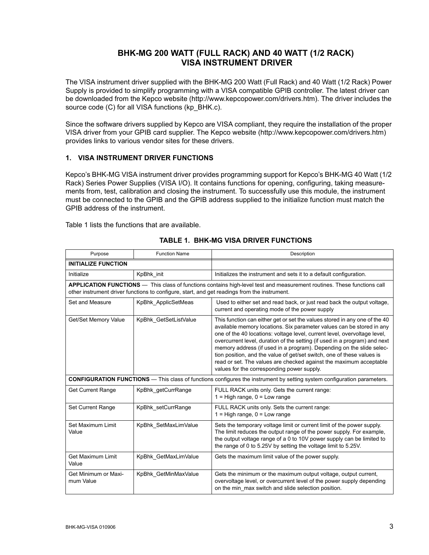# **BHK-MG 200 WATT (FULL RACK) AND 40 WATT (1/2 RACK) VISA INSTRUMENT DRIVER**

The VISA instrument driver supplied with the BHK-MG 200 Watt (Full Rack) and 40 Watt (1/2 Rack) Power Supply is provided to simplify programming with a VISA compatible GPIB controller. The latest driver can be downloaded from the Kepco website (http://www.kepcopower.com/drivers.htm). The driver includes the source code (C) for all VISA functions (kp\_BHK.c).

Since the software drivers supplied by Kepco are VISA compliant, they require the installation of the proper VISA driver from your GPIB card supplier. The Kepco website (http://www.kepcopower.com/drivers.htm) provides links to various vendor sites for these drivers.

#### **1. VISA INSTRUMENT DRIVER FUNCTIONS**

Kepcoís BHK-MG VISA instrument driver provides programming support for Kepcoís BHK-MG 40 Watt (1/2 Rack) Series Power Supplies (VISA I/O). It contains functions for opening, configuring, taking measurements from, test, calibration and closing the instrument. To successfully use this module, the instrument must be connected to the GPIB and the GPIB address supplied to the initialize function must match the GPIB address of the instrument.

Table [1](#page-2-0) lists the functions that are available.

<span id="page-2-0"></span>

| Purpose                           | <b>Function Name</b>                                                                         | Description                                                                                                                                                                                                                                                                                                                                                                                                                                                                                                                                                                          |  |
|-----------------------------------|----------------------------------------------------------------------------------------------|--------------------------------------------------------------------------------------------------------------------------------------------------------------------------------------------------------------------------------------------------------------------------------------------------------------------------------------------------------------------------------------------------------------------------------------------------------------------------------------------------------------------------------------------------------------------------------------|--|
| <b>INITIALIZE FUNCTION</b>        |                                                                                              |                                                                                                                                                                                                                                                                                                                                                                                                                                                                                                                                                                                      |  |
| Initialize                        | KpBhk init                                                                                   | Initializes the instrument and sets it to a default configuration.                                                                                                                                                                                                                                                                                                                                                                                                                                                                                                                   |  |
|                                   | other instrument driver functions to configure, start, and get readings from the instrument. | APPLICATION FUNCTIONS - This class of functions contains high-level test and measurement routines. These functions call                                                                                                                                                                                                                                                                                                                                                                                                                                                              |  |
| Set and Measure                   | KpBhk_ApplicSetMeas                                                                          | Used to either set and read back, or just read back the output voltage,<br>current and operating mode of the power supply                                                                                                                                                                                                                                                                                                                                                                                                                                                            |  |
| Get/Set Memory Value              | KpBhk GetSetListValue                                                                        | This function can either get or set the values stored in any one of the 40<br>available memory locations. Six parameter values can be stored in any<br>one of the 40 locations: voltage level, current level, overvoltage level,<br>overcurrent level, duration of the setting (if used in a program) and next<br>memory address (if used in a program). Depending on the slide selec-<br>tion position, and the value of get/set switch, one of these values is<br>read or set. The values are checked against the maximum acceptable<br>values for the corresponding power supply. |  |
|                                   |                                                                                              | <b>CONFIGURATION FUNCTIONS</b> — This class of functions configures the instrument by setting system configuration parameters.                                                                                                                                                                                                                                                                                                                                                                                                                                                       |  |
| <b>Get Current Range</b>          | KpBhk getCurrRange                                                                           | FULL RACK units only. Gets the current range:<br>$1 =$ High range, $0 =$ Low range                                                                                                                                                                                                                                                                                                                                                                                                                                                                                                   |  |
| Set Current Range                 | KpBhk setCurrRange                                                                           | FULL RACK units only. Sets the current range:<br>$1 =$ High range, $0 =$ Low range                                                                                                                                                                                                                                                                                                                                                                                                                                                                                                   |  |
| Set Maximum Limit<br>Value        | KpBhk SetMaxLimValue                                                                         | Sets the temporary voltage limit or current limit of the power supply.<br>The limit reduces the output range of the power supply. For example,<br>the output voltage range of a 0 to 10V power supply can be limited to<br>the range of 0 to 5.25V by setting the voltage limit to 5.25V.                                                                                                                                                                                                                                                                                            |  |
| <b>Get Maximum Limit</b><br>Value | KpBhk GetMaxLimValue                                                                         | Gets the maximum limit value of the power supply.                                                                                                                                                                                                                                                                                                                                                                                                                                                                                                                                    |  |
| Get Minimum or Maxi-<br>mum Value | KpBhk GetMinMaxValue                                                                         | Gets the minimum or the maximum output voltage, output current,<br>overvoltage level, or overcurrent level of the power supply depending<br>on the min_max switch and slide selection position.                                                                                                                                                                                                                                                                                                                                                                                      |  |

#### **TABLE 1. BHK-MG VISA DRIVER FUNCTIONS**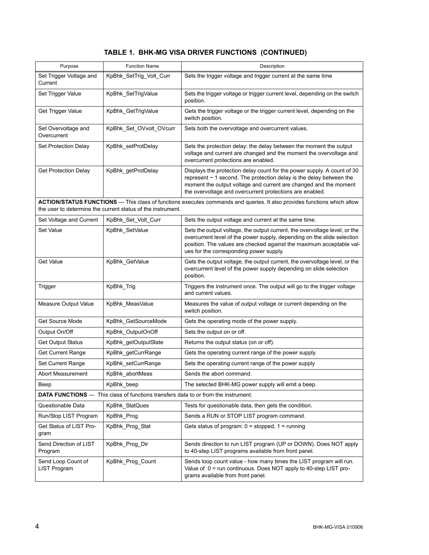| TABLE 1. BHK-MG VISA DRIVER FUNCTIONS (CONTINUED) |  |
|---------------------------------------------------|--|
|---------------------------------------------------|--|

| Purpose                                   | <b>Function Name</b>                                                                      | Description                                                                                                                                                                                                                                                                         |
|-------------------------------------------|-------------------------------------------------------------------------------------------|-------------------------------------------------------------------------------------------------------------------------------------------------------------------------------------------------------------------------------------------------------------------------------------|
| Set Trigger Voltage and<br>Current        | KpBhk_SetTrig_Volt_Curr                                                                   | Sets the trigger voltage and trigger current at the same time                                                                                                                                                                                                                       |
| Set Trigger Value                         | KpBhk_SetTrigValue                                                                        | Sets the trigger voltage or trigger current level, depending on the switch<br>position.                                                                                                                                                                                             |
| Get Trigger Value                         | KpBhk_GetTrigValue                                                                        | Gets the trigger voltage or the trigger current level, depending on the<br>switch position.                                                                                                                                                                                         |
| Set Overvoltage and<br>Overcurrent        | KpBhk Set OVvolt OVcurr                                                                   | Sets both the overvoltage and overcurrent values.                                                                                                                                                                                                                                   |
| Set Protection Delay                      | KpBhk setProtDelay                                                                        | Sets the protection delay: the delay between the moment the output<br>voltage and current are changed and the moment the overvoltage and<br>overcurrent protections are enabled.                                                                                                    |
| <b>Get Protection Delay</b>               | KpBhk_getProtDelay                                                                        | Displays the protection delay count for the power supply. A count of 30<br>represent $\sim$ 1 second. The protection delay is the delay between the<br>moment the output voltage and current are changed and the moment<br>the overvoltage and overcurrent protections are enabled. |
|                                           | the user to determine the current status of the instrument.                               | ACTION/STATUS FUNCTIONS - This class of functions executes commands and queries. It also provides functions which allow                                                                                                                                                             |
| Set Voltage and Current                   | KpBhk_Set_Volt_Curr                                                                       | Sets the output voltage and current at the same time.                                                                                                                                                                                                                               |
| Set Value                                 | KpBhk SetValue                                                                            | Sets the output voltage, the output current, the overvoltage level, or the<br>overcurrent level of the power supply, depending on the slide selection<br>position. The values are checked against the maximum acceptable val-<br>ues for the corresponding power supply.            |
| Get Value                                 | KpBhk_GetValue                                                                            | Gets the output voltage, the output current, the overvoltage level, or the<br>overcurrent level of the power supply depending on slide selection<br>position.                                                                                                                       |
| Trigger                                   | KpBhk_Trig                                                                                | Triggers the instrument once. The output will go to the trigger voltage<br>and current values.                                                                                                                                                                                      |
| Measure Output Value                      | KpBhk_MeasValue                                                                           | Measures the value of output voltage or current depending on the<br>switch position.                                                                                                                                                                                                |
| Get Source Mode                           | KpBhk_GetSourceMode                                                                       | Gets the operating mode of the power supply.                                                                                                                                                                                                                                        |
| Output On/Off                             | KpBhk OutputOnOff                                                                         | Sets the output on or off.                                                                                                                                                                                                                                                          |
| <b>Get Output Status</b>                  | KpBhk_getOutputState                                                                      | Returns the output status (on or off).                                                                                                                                                                                                                                              |
| <b>Get Current Range</b>                  | KpBhk_getCurrRange                                                                        | Gets the operating current range of the power supply.                                                                                                                                                                                                                               |
| <b>Set Current Range</b>                  | KpBhk_setCurrRange                                                                        | Sets the operating current range of the power supply                                                                                                                                                                                                                                |
| Abort Measurement                         | KpBhk_abortMeas                                                                           | Sends the abort command.                                                                                                                                                                                                                                                            |
| Beep                                      | KpBhk_beep                                                                                | The selected BHK-MG power supply will emit a beep.                                                                                                                                                                                                                                  |
|                                           | <b>DATA FUNCTIONS</b> — This class of functions transfers data to or from the instrument. |                                                                                                                                                                                                                                                                                     |
| Questionable Data                         | KpBhk_StatQues                                                                            | Tests for questionable data, then gets the condition.                                                                                                                                                                                                                               |
| Run/Stop LIST Program                     | KpBhk_Prog                                                                                | Sends a RUN or STOP LIST program command.                                                                                                                                                                                                                                           |
| Get Status of LIST Pro-<br>gram           | KpBhk_Prog_Stat                                                                           | Gets status of program: $0 =$ stopped, $1 =$ running                                                                                                                                                                                                                                |
| Send Direction of LIST<br>Program         | KpBhk_Prog_Dir                                                                            | Sends direction to run LIST program (UP or DOWN). Does NOT apply<br>to 40-step LIST programs available from front panel.                                                                                                                                                            |
| Send Loop Count of<br><b>LIST Program</b> | KpBhk_Prog_Count                                                                          | Sends loop count value - how many times the LIST program will run.<br>Value of $0 = run$ continuous. Does NOT apply to 40-step LIST pro-<br>grams available from front panel.                                                                                                       |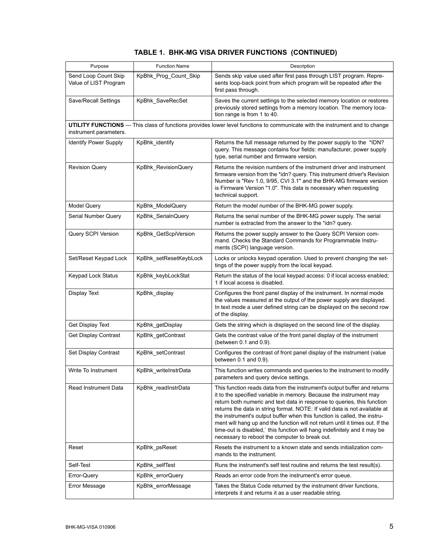|  |  |  |  |  | TABLE 1.  BHK-MG VISA DRIVER FUNCTIONS  (CONTINUED) |
|--|--|--|--|--|-----------------------------------------------------|
|--|--|--|--|--|-----------------------------------------------------|

| Purpose                                       | <b>Function Name</b>   | Description                                                                                                                                                                                                                                                                                                                                                                                                                                                                                                                                                                                         |
|-----------------------------------------------|------------------------|-----------------------------------------------------------------------------------------------------------------------------------------------------------------------------------------------------------------------------------------------------------------------------------------------------------------------------------------------------------------------------------------------------------------------------------------------------------------------------------------------------------------------------------------------------------------------------------------------------|
| Send Loop Count Skip<br>Value of LIST Program | KpBhk_Prog_Count_Skip  | Sends skip value used after first pass through LIST program. Repre-<br>sents loop-back point from which program will be repeated after the<br>first pass through.                                                                                                                                                                                                                                                                                                                                                                                                                                   |
| Save/Recall Settings                          | KpBhk_SaveRecSet       | Saves the current settings to the selected memory location or restores<br>previously stored settings from a memory location. The memory loca-<br>tion range is from 1 to 40.                                                                                                                                                                                                                                                                                                                                                                                                                        |
| instrument parameters.                        |                        | UTILITY FUNCTIONS - This class of functions provides lower level functions to communicate with the instrument and to change                                                                                                                                                                                                                                                                                                                                                                                                                                                                         |
| <b>Identify Power Supply</b>                  | KpBhk_identify         | Returns the full message returned by the power supply to the *IDN?<br>query. This message contains four fields: manufacturer, power supply<br>type, serial number and firmware version.                                                                                                                                                                                                                                                                                                                                                                                                             |
| <b>Revision Query</b>                         | KpBhk_RevisionQuery    | Returns the revision numbers of the instrument driver and instrument<br>firmware version from the *idn? query. This instrument driver's Revision<br>Number is "Rev 1.0, 9/95, CVI 3.1" and the BHK-MG firmware version<br>is Firmware Version "1.0". This data is necessary when requesting<br>technical support.                                                                                                                                                                                                                                                                                   |
| <b>Model Query</b>                            | KpBhk_ModelQuery       | Return the model number of the BHK-MG power supply.                                                                                                                                                                                                                                                                                                                                                                                                                                                                                                                                                 |
| Serial Number Query                           | KpBhk_SerialnQuery     | Returns the serial number of the BHK-MG power supply. The serial<br>number is extracted from the answer to the *idn? query.                                                                                                                                                                                                                                                                                                                                                                                                                                                                         |
| Query SCPI Version                            | KpBhk_GetScpiVersion   | Returns the power supply answer to the Query SCPI Version com-<br>mand. Checks the Standard Commands for Programmable Instru-<br>ments (SCPI) language version.                                                                                                                                                                                                                                                                                                                                                                                                                                     |
| Set/Reset Keypad Lock                         | KpBhk_setResetKeybLock | Locks or unlocks keypad operation. Used to prevent changing the set-<br>tings of the power supply from the local keypad.                                                                                                                                                                                                                                                                                                                                                                                                                                                                            |
| Keypad Lock Status                            | KpBhk_keybLockStat     | Return the status of the local keypad access: 0 if local access enabled;<br>1 if local access is disabled.                                                                                                                                                                                                                                                                                                                                                                                                                                                                                          |
| <b>Display Text</b>                           | KpBhk_display          | Configures the front panel display of the instrument. In normal mode<br>the values measured at the output of the power supply are displayed.<br>In text mode a user defined string can be displayed on the second row<br>of the display.                                                                                                                                                                                                                                                                                                                                                            |
| Get Display Text                              | KpBhk_getDisplay       | Gets the string which is displayed on the second line of the display.                                                                                                                                                                                                                                                                                                                                                                                                                                                                                                                               |
| Get Display Contrast                          | KpBhk_getContrast      | Gets the contrast value of the front panel display of the instrument<br>(between $0.1$ and $0.9$ ).                                                                                                                                                                                                                                                                                                                                                                                                                                                                                                 |
| Set Display Contrast                          | KpBhk_setContrast      | Configures the contrast of front panel display of the instrument (value<br>between 0.1 and 0.9).                                                                                                                                                                                                                                                                                                                                                                                                                                                                                                    |
| Write To Instrument                           | KpBhk writeInstrData   | This function writes commands and queries to the instrument to modify<br>parameters and query device settings.                                                                                                                                                                                                                                                                                                                                                                                                                                                                                      |
| Read Instrument Data                          | KpBhk_readInstrData    | This function reads data from the instrument's output buffer and returns<br>it to the specified variable in memory. Because the instrument may<br>return both numeric and text data in response to queries, this function<br>returns the data in string format. NOTE: If valid data is not available at<br>the instrument's output buffer when this function is called, the instru-<br>ment will hang up and the function will not return until it times out. If the<br>time-out is disabled,' this function will hang indefinitely and it may be<br>necessary to reboot the computer to break out. |
| Reset                                         | KpBhk_psReset          | Resets the instrument to a known state and sends initialization com-<br>mands to the instrument.                                                                                                                                                                                                                                                                                                                                                                                                                                                                                                    |
| Self-Test                                     | KpBhk_selfTest         | Runs the instrument's self test routine and returns the test result(s).                                                                                                                                                                                                                                                                                                                                                                                                                                                                                                                             |
| Error-Query                                   | KpBhk_errorQuery       | Reads an error code from the instrument's error queue.                                                                                                                                                                                                                                                                                                                                                                                                                                                                                                                                              |
| Error Message                                 | KpBhk_errorMessage     | Takes the Status Code returned by the instrument driver functions,<br>interprets it and returns it as a user readable string.                                                                                                                                                                                                                                                                                                                                                                                                                                                                       |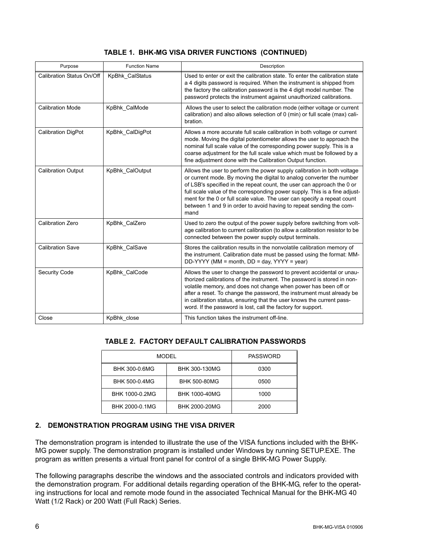|  |  |  |  | TABLE 1. BHK-MG VISA DRIVER FUNCTIONS (CONTINUED) |
|--|--|--|--|---------------------------------------------------|
|--|--|--|--|---------------------------------------------------|

| Purpose                   | <b>Function Name</b> | Description                                                                                                                                                                                                                                                                                                                                                                                                                                                        |  |
|---------------------------|----------------------|--------------------------------------------------------------------------------------------------------------------------------------------------------------------------------------------------------------------------------------------------------------------------------------------------------------------------------------------------------------------------------------------------------------------------------------------------------------------|--|
| Calibration Status On/Off | KpBhk CalStatus      | Used to enter or exit the calibration state. To enter the calibration state<br>a 4 digits password is required. When the instrument is shipped from<br>the factory the calibration password is the 4 digit model number. The<br>password protects the instrument against unauthorized calibrations.                                                                                                                                                                |  |
| <b>Calibration Mode</b>   | KpBhk CalMode        | Allows the user to select the calibration mode (either voltage or current<br>calibration) and also allows selection of 0 (min) or full scale (max) cali-<br>bration.                                                                                                                                                                                                                                                                                               |  |
| <b>Calibration DigPot</b> | KpBhk CalDigPot      | Allows a more accurate full scale calibration in both voltage or current<br>mode. Moving the digital potentiometer allows the user to approach the<br>nominal full scale value of the corresponding power supply. This is a<br>coarse adjustment for the full scale value which must be followed by a<br>fine adjustment done with the Calibration Output function.                                                                                                |  |
| <b>Calibration Output</b> | KpBhk CalOutput      | Allows the user to perform the power supply calibration in both voltage<br>or current mode. By moving the digital to analog converter the number<br>of LSB's specified in the repeat count, the user can approach the 0 or<br>full scale value of the corresponding power supply. This is a fine adjust-<br>ment for the 0 or full scale value. The user can specify a repeat count<br>between 1 and 9 in order to avoid having to repeat sending the com-<br>mand |  |
| <b>Calibration Zero</b>   | KpBhk CalZero        | Used to zero the output of the power supply before switching from volt-<br>age calibration to current calibration (to allow a calibration resistor to be<br>connected between the power supply output terminals.                                                                                                                                                                                                                                                   |  |
| <b>Calibration Save</b>   | KpBhk CalSave        | Stores the calibration results in the nonvolatile calibration memory of<br>the instrument. Calibration date must be passed using the format: MM-<br>$DD-YYYY$ (MM = month, $DD = day$ , $YYYY = year$ )                                                                                                                                                                                                                                                            |  |
| Security Code             | KpBhk CalCode        | Allows the user to change the password to prevent accidental or unau-<br>thorized calibrations of the instrument. The password is stored in non-<br>volatile memory, and does not change when power has been off or<br>after a reset. To change the password, the instrument must already be<br>in calibration status, ensuring that the user knows the current pass-<br>word. If the password is lost, call the factory for support.                              |  |
| Close                     | KpBhk_close          | This function takes the instrument off-line.                                                                                                                                                                                                                                                                                                                                                                                                                       |  |

## **TABLE 2. FACTORY DEFAULT CALIBRATION PASSWORDS**

| <b>MODEL</b>   | <b>PASSWORD</b>      |      |
|----------------|----------------------|------|
| BHK 300-0.6MG  | BHK 300-130MG        | 0300 |
| BHK 500-0.4MG  | <b>BHK 500-80MG</b>  | 0500 |
| BHK 1000-0.2MG | <b>BHK 1000-40MG</b> | 1000 |
| BHK 2000-0.1MG | BHK 2000-20MG        | 2000 |

## **2. DEMONSTRATION PROGRAM USING THE VISA DRIVER**

The demonstration program is intended to illustrate the use of the VISA functions included with the BHK-MG power supply. The demonstration program is installed under Windows by running SETUP.EXE. The program as written presents a virtual front panel for control of a single BHK-MG Power Supply.

The following paragraphs describe the windows and the associated controls and indicators provided with the demonstration program. For additional details regarding operation of the BHK-MG, refer to the operating instructions for local and remote mode found in the associated Technical Manual for the BHK-MG 40 Watt (1/2 Rack) or 200 Watt (Full Rack) Series.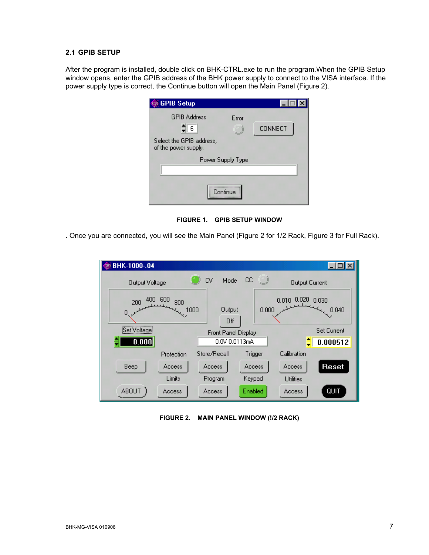#### **2.1 GPIB SETUP**

After the program is installed, double click on BHK-CTRL.exe to run the program.When the GPIB Setup window opens, enter the GPIB address of the BHK power supply to connect to the VISA interface. If the power supply type is correct, the Continue button will open the Main Panel (Figure [2](#page-6-0)).

| <b>GPIB Setup</b>                                |                   |                |  |  |  |
|--------------------------------------------------|-------------------|----------------|--|--|--|
| <b>GPIB Address</b>                              | Error             |                |  |  |  |
| $\frac{2}{3}$ 6                                  |                   | <b>CONNECT</b> |  |  |  |
| Select the GPIB address,<br>of the power supply. |                   |                |  |  |  |
|                                                  | Power Supply Type |                |  |  |  |
|                                                  |                   |                |  |  |  |
| Continue                                         |                   |                |  |  |  |

**FIGURE 1. GPIB SETUP WINDOW**

. Once you are connected, you will see the Main Panel (Figure [2](#page-6-0) for 1/2 Rack, Figure [3](#page-7-0) for Full Rack).



<span id="page-6-0"></span>**FIGURE 2. MAIN PANEL WINDOW (!/2 RACK)**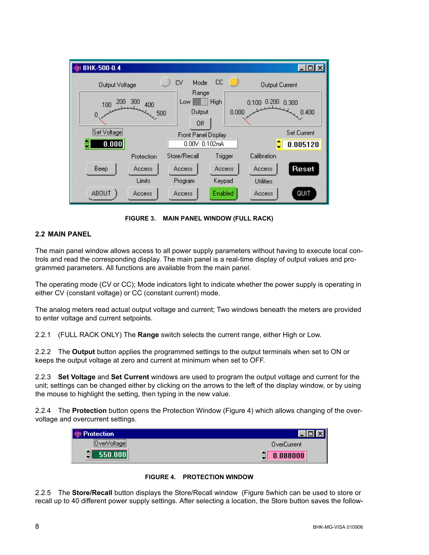

**FIGURE 3. MAIN PANEL WINDOW (FULL RACK)**

#### <span id="page-7-0"></span>**2.2 MAIN PANEL**

The main panel window allows access to all power supply parameters without having to execute local controls and read the corresponding display. The main panel is a real-time display of output values and programmed parameters. All functions are available from the main panel.

The operating mode (CV or CC); Mode indicators light to indicate whether the power supply is operating in either CV (constant voltage) or CC (constant current) mode.

The analog meters read actual output voltage and current; Two windows beneath the meters are provided to enter voltage and current setpoints.

2.2.1 (FULL RACK ONLY) The **Range** switch selects the current range, either High or Low.

2.2.2 The **Output** button applies the programmed settings to the output terminals when set to ON or keeps the output voltage at zero and current at minimum when set to OFF.

2.2.3 **Set Voltage** and **Set Current** windows are used to program the output voltage and current for the unit; settings can be changed either by clicking on the arrows to the left of the display window, or by using the mouse to highlight the setting, then typing in the new value.

2.2.4 The **Protection** button opens the Protection Window (Figure [4\)](#page-7-1) which allows changing of the overvoltage and overcurrent settings.

| <b>tection</b><br>$\sim$           |             |
|------------------------------------|-------------|
| ********************************** | OverCurrent |
|                                    | ≖           |



<span id="page-7-1"></span>2.2.5 The **Store/Recall** button displays the Store/Recall window (Figure [5w](#page-8-0)hich can be used to store or recall up to 40 different power supply settings. After selecting a location, the Store button saves the follow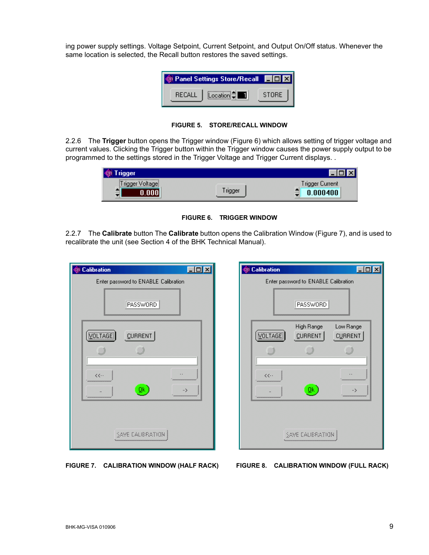ing power supply settings. Voltage Setpoint, Current Setpoint, and Output On/Off status. Whenever the same location is selected, the Recall button restores the saved settings.



**FIGURE 5. STORE/RECALL WINDOW**

<span id="page-8-0"></span>2.2.6 The **Trigger** button opens the Trigger window (Figure [6\)](#page-8-2) which allows setting of trigger voltage and current values. Clicking the Trigger button within the Trigger window causes the power supply output to be programmed to the settings stored in the Trigger Voltage and Trigger Current displays. .

| :<br>≞ | 7A | frigger Current |
|--------|----|-----------------|



<span id="page-8-2"></span>2.2.7 The **Calibrate** button The **Calibrate** button opens the Calibration Window (Figure [7\)](#page-8-1), and is used to recalibrate the unit (see Section 4 of the BHK Technical Manual).

| Co Calibration<br>$\Box$ o                                           |
|----------------------------------------------------------------------|
| Enter password to ENABLE Calibration                                 |
| <b>PASSWORD</b>                                                      |
| VOLTAGE<br>CURRENT                                                   |
| $\langle \langle \cdot, \cdot \rangle$<br>₫k<br>,,,,,,,,,,,,,,,,,,,, |
| SAME CALIBRATION                                                     |

Calibration  $\Box$ o $\mathbf{x}$ Enter password to ENABLE Calibration PASSWORD High Range Low Range VOLTAGE **CURRENT CURRENT** Í  $\cup$ Í  $\ddotsc$ <<..  $\underline{\mathsf{Q}}\mathsf{k}$ -> SAME CALIBRATION

<span id="page-8-1"></span>**FIGURE 7. CALIBRATION WINDOW (HALF RACK) FIGURE 8. CALIBRATION WINDOW (FULL RACK)**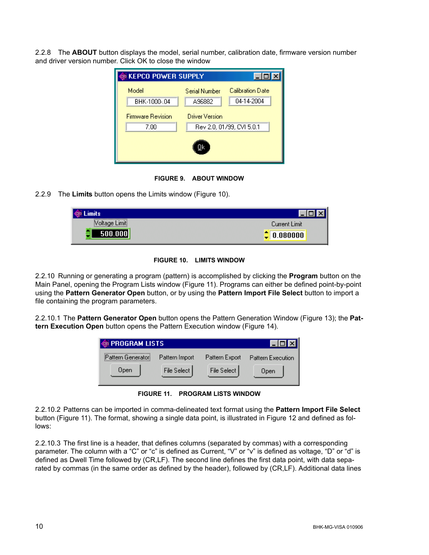2.2.8 The **ABOUT** button displays the model, serial number, calibration date, firmware version number and driver version number. Click OK to close the window

| <b>EXEPCO POWER SUPPLY</b>       |                                                    |                  |
|----------------------------------|----------------------------------------------------|------------------|
| Model                            | Serial Number                                      | Calibration Date |
| BHK-1000-.04                     | A96882                                             | 04-14-2004       |
| <b>Firmware Revision</b><br>7.00 | <b>Driver Version</b><br>Rev 2.0, 01/99, CVI 5.0.1 |                  |
|                                  |                                                    |                  |



2.2.9 The **Limits** button opens the Limits window (Figure [10\)](#page-9-1).

| ts                                                                                                   |               |
|------------------------------------------------------------------------------------------------------|---------------|
| ---------------------------------<br>umit:<br>4V<br>$\frac{1}{2}$ . One get the set of $\frac{1}{2}$ | Current Limit |
|                                                                                                      | 80000         |

**FIGURE 10. LIMITS WINDOW**

<span id="page-9-1"></span>2.2.10 Running or generating a program (pattern) is accomplished by clicking the **Program** button on the Main Panel, opening the Program Lists window (Figure [11\)](#page-9-0). Programs can either be defined point-by-point using the **Pattern Generator Open** button, or by using the **Pattern Import File Select** button to import a file containing the program parameters.

2.2.10.1 The **Pattern Generator Open** button opens the Pattern Generation Window (Figure [13](#page-10-0)); the **Pattern Execution Open** button opens the Pattern Execution window (Figure [14\)](#page-13-0).



**FIGURE 11. PROGRAM LISTS WINDOW**

<span id="page-9-0"></span>2.2.10.2 Patterns can be imported in comma-delineated text format using the **Pattern Import File Select** button (Figure [11\)](#page-9-0). The format, showing a single data point, is illustrated in Figure [12](#page-10-1) and defined as follows:

2.2.10.3 The first line is a header, that defines columns (separated by commas) with a corresponding parameter. The column with a "C" or "c" is defined as Current, "V" or "v" is defined as voltage, "D" or "d" is defined as Dwell Time followed by (CR,LF). The second line defines the first data point, with data separated by commas (in the same order as defined by the header), followed by (CR,LF). Additional data lines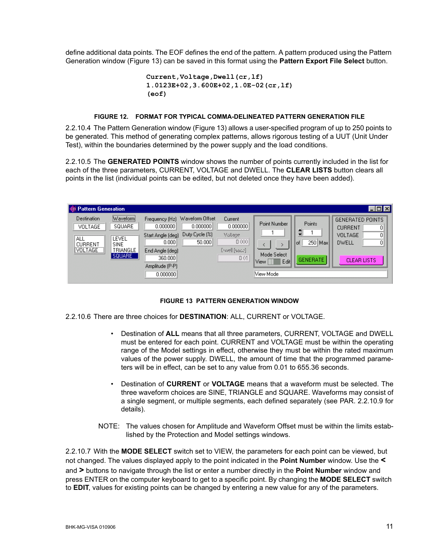define additional data points. The EOF defines the end of the pattern. A pattern produced using the Pattern Generation window (Figure [13](#page-10-0)) can be saved in this format using the **Pattern Export File Select** button.

```
Current,Voltage,Dwell(cr,lf)
1.0123E+02,3.600E+02,1.0E-02(cr,lf)
(eof)
```
#### **FIGURE 12. FORMAT FOR TYPICAL COMMA-DELINEATED PATTERN GENERATION FILE**

<span id="page-10-1"></span>2.2.10.4 The Pattern Generation window (Figure [13](#page-10-0)) allows a user-specified program of up to 250 points to be generated. This method of generating complex patterns, allows rigorous testing of a UUT (Unit Under Test), within the boundaries determined by the power supply and the load conditions.

2.2.10.5 The **GENERATED POINTS** window shows the number of points currently included in the list for each of the three parameters, CURRENT, VOLTAGE and DWELL. The **CLEAR LISTS** button clears all points in the list (individual points can be edited, but not deleted once they have been added).

| <b>W</b> Pattern Generation                                                                                                                          |                                                                                                                       |                                                                                                                                     |                                                                  |                                                             | $\Box$                                                                                                              |
|------------------------------------------------------------------------------------------------------------------------------------------------------|-----------------------------------------------------------------------------------------------------------------------|-------------------------------------------------------------------------------------------------------------------------------------|------------------------------------------------------------------|-------------------------------------------------------------|---------------------------------------------------------------------------------------------------------------------|
| Waveform<br><b>Destination</b><br>SQUARE<br>VOLTAGE<br>ALL<br>LEVEL<br><b>CURRENT</b><br><b>SINE</b><br><b>VOLTAGE</b><br><b>TRIANGLE</b><br>SQUARE. | Frequency (Hz)<br>0.000000<br>Start Angle (deg)<br>0.000<br>End Angle (deg)<br>360,000<br>Amplitude (P-P)<br>0.000000 | Waveform Offset<br>Current<br>0.000000<br>0.000000<br>Duty Cycle [%]<br>Vollage<br>$0$ (iii)<br>50.000<br><b>Doel (sec.)</b><br>001 | Point Number<br>Mode Select<br>Edit<br><b>View</b><br>View Model | Points<br>$\Rightarrow$<br>250 Max<br>of<br><b>GENERATE</b> | <b>GENERATED POINTS</b><br>01<br><b>CURRENT</b><br>Οl<br><b>VOLTAGE</b><br>οl<br><b>DWELL</b><br><b>CLEAR LISTS</b> |

#### **FIGURE 13 PATTERN GENERATION WINDOW**

- <span id="page-10-0"></span>2.2.10.6 There are three choices for **DESTINATION**: ALL, CURRENT or VOLTAGE.
	- ï Destination of **ALL** means that all three parameters, CURRENT, VOLTAGE and DWELL must be entered for each point. CURRENT and VOLTAGE must be within the operating range of the Model settings in effect, otherwise they must be within the rated maximum values of the power supply. DWELL, the amount of time that the programmed parameters will be in effect, can be set to any value from 0.01 to 655.36 seconds.
	- ï Destination of **CURRENT** or **VOLTAGE** means that a waveform must be selected. The three waveform choices are SINE, TRIANGLE and SQUARE. Waveforms may consist of a single segment, or multiple segments, each defined separately (see PAR. [2.2.10.9](#page-11-0) for details).
	- NOTE: The values chosen for Amplitude and Waveform Offset must be within the limits established by the Protection and Model settings windows.

2.2.10.7 With the **MODE SELECT** switch set to VIEW, the parameters for each point can be viewed, but not changed. The values displayed apply to the point indicated in the **Point Number** window. Use the **<** and **>** buttons to navigate through the list or enter a number directly in the **Point Number** window and press ENTER on the computer keyboard to get to a specific point. By changing the **MODE SELECT** switch to **EDIT**, values for existing points can be changed by entering a new value for any of the parameters.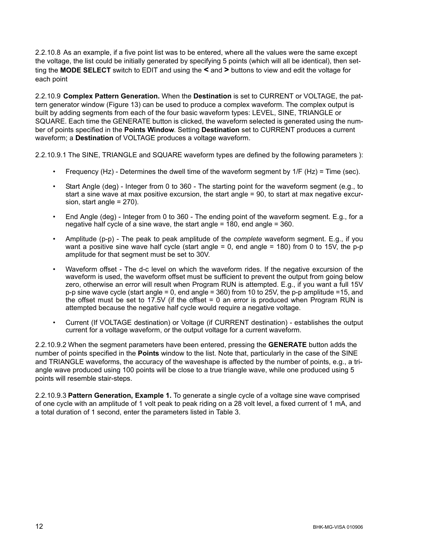2.2.10.8 As an example, if a five point list was to be entered, where all the values were the same except the voltage, the list could be initially generated by specifying 5 points (which will all be identical), then setting the **MODE SELECT** switch to EDIT and using the **<** and **>** buttons to view and edit the voltage for each point

<span id="page-11-0"></span>2.2.10.9 **Complex Pattern Generation.** When the **Destination** is set to CURRENT or VOLTAGE, the pattern generator window (Figure [13\)](#page-10-0) can be used to produce a complex waveform. The complex output is built by adding segments from each of the four basic waveform types: LEVEL, SINE, TRIANGLE or SQUARE. Each time the GENERATE button is clicked, the waveform selected is generated using the number of points specified in the **Points Window**. Setting **Destination** set to CURRENT produces a current waveform; a **Destination** of VOLTAGE produces a voltage waveform.

2.2.10.9.1 The SINE, TRIANGLE and SQUARE waveform types are defined by the following parameters ):

- Frequency (Hz) Determines the dwell time of the waveform segment by  $1/F$  (Hz) = Time (sec).
- Start Angle (deg) Integer from 0 to 360 The starting point for the waveform segment (e.g., to start a sine wave at max positive excursion, the start angle = 90, to start at max negative excursion, start angle = 270).
- End Angle (deg) Integer from 0 to 360 The ending point of the waveform segment. E.g., for a negative half cycle of a sine wave, the start angle  $= 180$ , end angle  $= 360$ .
- Amplitude (p-p) The peak to peak amplitude of the *complete* waveform segment. E.g., if you want a positive sine wave half cycle (start angle = 0, end angle = 180) from 0 to 15V, the p-p amplitude for that segment must be set to 30V.
- Waveform offset The d-c level on which the waveform rides. If the negative excursion of the waveform is used, the waveform offset must be sufficient to prevent the output from going below zero, otherwise an error will result when Program RUN is attempted. E.g., if you want a full 15V p-p sine wave cycle (start angle = 0, end angle = 360) from 10 to 25V, the p-p amplitude =15, and the offset must be set to 17.5V (if the offset = 0 an error is produced when Program RUN is attempted because the negative half cycle would require a negative voltage.
- Current (If VOLTAGE destination) or Voltage (if CURRENT destination) establishes the output current for a voltage waveform, or the output voltage for a current waveform.

2.2.10.9.2 When the segment parameters have been entered, pressing the **GENERATE** button adds the number of points specified in the **Points** window to the list. Note that, particularly in the case of the SINE and TRIANGLE waveforms, the accuracy of the waveshape is affected by the number of points, e.g., a triangle wave produced using 100 points will be close to a true triangle wave, while one produced using 5 points will resemble stair-steps.

2.2.10.9.3 **Pattern Generation, Example 1.** To generate a single cycle of a voltage sine wave comprised of one cycle with an amplitude of 1 volt peak to peak riding on a 28 volt level, a fixed current of 1 mA, and a total duration of 1 second, enter the parameters listed in Table [3.](#page-12-0)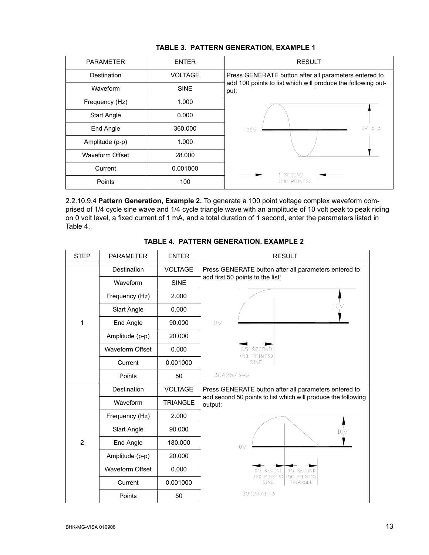<span id="page-12-0"></span>

| <b>PARAMETER</b>   | <b>ENTER</b>   | <b>RESULT</b>                                                        |  |
|--------------------|----------------|----------------------------------------------------------------------|--|
| Destination        | <b>VOLTAGE</b> | Press GENERATE button after all parameters entered to                |  |
| Waveform           | <b>SINE</b>    | add 100 points to list which will produce the following out-<br>put: |  |
| Frequency (Hz)     | 1.000          |                                                                      |  |
| <b>Start Angle</b> | 0.000          |                                                                      |  |
| End Angle          | 360.000        | $p-p$<br>+28V                                                        |  |
| Amplitude (p-p)    | 1.000          |                                                                      |  |
| Waveform Offset    | 28,000         |                                                                      |  |
| Current            | 0.001000       | 1 SECOND                                                             |  |
| Points             | 100            | $(100$ POINTS)                                                       |  |

#### **TABLE 3. PATTERN GENERATION, EXAMPLE 1**

2.2.10.9.4 **Pattern Generation, Example 2.** To generate a 100 point voltage complex waveform comprised of 1/4 cycle sine wave and 1/4 cycle triangle wave with an amplitude of 10 volt peak to peak riding on 0 volt level, a fixed current of 1 mA, and a total duration of 1 second, enter the parameters listed in Table [4.](#page-12-1)

<span id="page-12-1"></span>

| <b>STEP</b>    | <b>PARAMETER</b>       | <b>ENTER</b>    | <b>RESULT</b>                                                            |  |  |
|----------------|------------------------|-----------------|--------------------------------------------------------------------------|--|--|
|                | Destination            | <b>VOLTAGE</b>  | Press GENERATE button after all parameters entered to                    |  |  |
| 1              | Waveform               | <b>SINE</b>     | add first 50 points to the list:                                         |  |  |
|                | Frequency (Hz)         | 2.000           |                                                                          |  |  |
|                | <b>Start Angle</b>     | 0.000           | 10 <sub>V</sub>                                                          |  |  |
|                | End Angle              | 90.000          | 0 <sub>V</sub>                                                           |  |  |
|                | Amplitude (p-p)        | 20.000          |                                                                          |  |  |
|                | Waveform Offset        | 0.000           | 0.5 SECOND<br>(50 POINTS)                                                |  |  |
|                | Current                | 0.001000        | SINE                                                                     |  |  |
|                | Points                 | 50              | $3042673 - 2$                                                            |  |  |
|                | Destination            | <b>VOLTAGE</b>  | Press GENERATE button after all parameters entered to                    |  |  |
|                | Waveform               | <b>TRIANGLE</b> | add second 50 points to list which will produce the following<br>output: |  |  |
|                | Frequency (Hz)         | 2.000           |                                                                          |  |  |
|                | <b>Start Angle</b>     | 90.000          | 10V                                                                      |  |  |
| $\overline{2}$ | End Angle              | 180.000         | 0 <sub>V</sub>                                                           |  |  |
|                | Amplitude (p-p)        | 20.000          |                                                                          |  |  |
|                | <b>Waveform Offset</b> | 0.000           | 0.5 SECOND<br>0.5 SECOND                                                 |  |  |
|                | Current                | 0.001000        | (50 POINTS)<br>(50 POINTS)<br>SINE<br>TRIANGLE                           |  |  |
|                | Points                 | 50              | $3042673 - 3$                                                            |  |  |

# **TABLE 4. PATTERN GENERATION. EXAMPLE 2**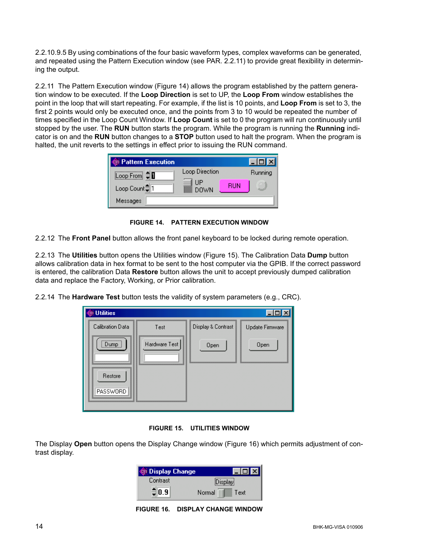2.2.10.9.5 By using combinations of the four basic waveform types, complex waveforms can be generated, and repeated using the Pattern Execution window (see PAR. [2.2.11](#page-13-2)) to provide great flexibility in determining the output.

<span id="page-13-2"></span>2.2.11 The Pattern Execution window (Figure [14](#page-13-0)) allows the program established by the pattern generation window to be executed. If the **Loop Direction** is set to UP, the **Loop From** window establishes the point in the loop that will start repeating. For example, if the list is 10 points, and **Loop From** is set to 3, the first 2 points would only be executed once, and the points from 3 to 10 would be repeated the number of times specified in the Loop Count Window. If **Loop Count** is set to 0 the program will run continuously until stopped by the user. The **RUN** button starts the program. While the program is running the **Running** indicator is on and the **RUN** button changes to a **STOP** button used to halt the program. When the program is halted, the unit reverts to the settings in effect prior to issuing the RUN command.

| Cy Pattern Execution  |                   |            |         |
|-----------------------|-------------------|------------|---------|
| Loop From $\exists$ D | Loop Direction    |            | Running |
| Loop Count≑1          | ПP<br><b>DOWN</b> | <b>RUN</b> | $\sim$  |
| Messages              |                   |            |         |

**FIGURE 14. PATTERN EXECUTION WINDOW**

<span id="page-13-0"></span>2.2.12 The **Front Panel** button allows the front panel keyboard to be locked during remote operation.

2.2.13 The **Utilities** button opens the Utilities window (Figure [15\)](#page-13-1). The Calibration Data **Dump** button allows calibration data in hex format to be sent to the host computer via the GPIB. If the correct password is entered, the calibration Data **Restore** button allows the unit to accept previously dumped calibration data and replace the Factory, Working, or Prior calibration.

2.2.14 The **Hardware Test** button tests the validity of system parameters (e.g., CRC).

| cui Utilities              |               |                    |                 |
|----------------------------|---------------|--------------------|-----------------|
| Calibration Data           | Test          | Display & Contrast | Update Firmware |
| <br>Dump j                 | Hardware Test | Open               | Open            |
| Restore<br><b>PASSWORD</b> |               |                    |                 |

**FIGURE 15. UTILITIES WINDOW**

<span id="page-13-3"></span><span id="page-13-1"></span>The Display **Open** button opens the Display Change window (Figure [16](#page-13-3)) which permits adjustment of contrast display.

| <b>Q Display Change</b> |                |
|-------------------------|----------------|
| Contrast                | Display        |
| $\exists$ 0.9           | Normal<br>Text |

**FIGURE 16. DISPLAY CHANGE WINDOW**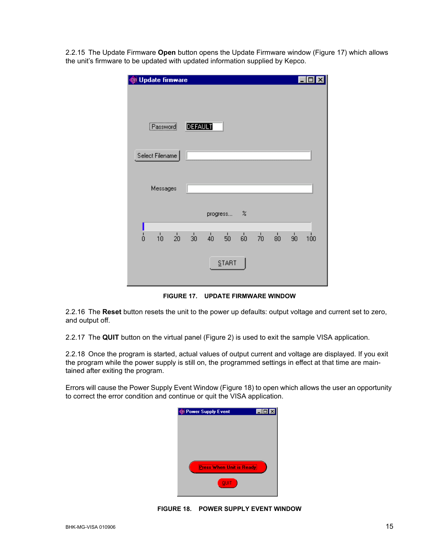2.2.15 The Update Firmware **Open** button opens the Update Firmware window (Figure [17](#page-14-1)) which allows the unit's firmware to be updated with updated information supplied by Kepco.

| Update firmware   |                                                                         | $\mathsf{I}\mathsf{x}$<br>-101           |
|-------------------|-------------------------------------------------------------------------|------------------------------------------|
| Password          | <b>DEFAULT</b>                                                          |                                          |
| Select Filename   |                                                                         |                                          |
| Messages          |                                                                         |                                          |
|                   | progress %                                                              |                                          |
| ó<br>$10^{\circ}$ | $\frac{1}{40}$ 50 50<br>$\frac{1}{20}$ $\frac{1}{30}$<br>$\frac{1}{70}$ | $\overline{80}$<br>$\frac{1}{90}$<br>100 |
|                   | START                                                                   |                                          |

**FIGURE 17. UPDATE FIRMWARE WINDOW**

<span id="page-14-1"></span>2.2.16 The **Reset** button resets the unit to the power up defaults: output voltage and current set to zero, and output off.

2.2.17 The **QUIT** button on the virtual panel (Figure [2](#page-6-0)) is used to exit the sample VISA application.

2.2.18 Once the program is started, actual values of output current and voltage are displayed. If you exit the program while the power supply is still on, the programmed settings in effect at that time are maintained after exiting the program.

<span id="page-14-0"></span>Errors will cause the Power Supply Event Window (Figure [18](#page-14-0)) to open which allows the user an opportunity to correct the error condition and continue or quit the VISA application.



**FIGURE 18. POWER SUPPLY EVENT WINDOW**